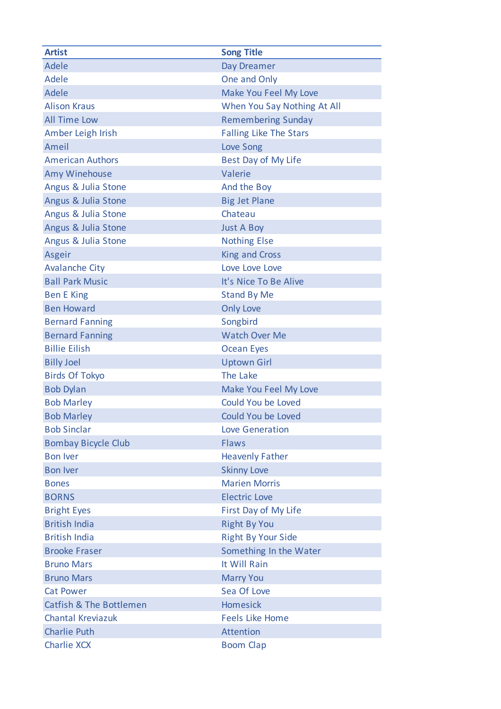| <b>Artist</b>                      | <b>Song Title</b>             |
|------------------------------------|-------------------------------|
| <b>Adele</b>                       | Day Dreamer                   |
| Adele                              | One and Only                  |
| Adele                              | Make You Feel My Love         |
| <b>Alison Kraus</b>                | When You Say Nothing At All   |
| <b>All Time Low</b>                | <b>Remembering Sunday</b>     |
| Amber Leigh Irish                  | <b>Falling Like The Stars</b> |
| Ameil                              | <b>Love Song</b>              |
| <b>American Authors</b>            | Best Day of My Life           |
| Amy Winehouse                      | Valerie                       |
| Angus & Julia Stone                | And the Boy                   |
| Angus & Julia Stone                | <b>Big Jet Plane</b>          |
| Angus & Julia Stone                | Chateau                       |
| Angus & Julia Stone                | <b>Just A Boy</b>             |
| Angus & Julia Stone                | <b>Nothing Else</b>           |
| Asgeir                             | <b>King and Cross</b>         |
| <b>Avalanche City</b>              | Love Love Love                |
| <b>Ball Park Music</b>             | It's Nice To Be Alive         |
| <b>Ben E King</b>                  | <b>Stand By Me</b>            |
| <b>Ben Howard</b>                  | <b>Only Love</b>              |
| <b>Bernard Fanning</b>             | Songbird                      |
| <b>Bernard Fanning</b>             | <b>Watch Over Me</b>          |
| <b>Billie Eilish</b>               | <b>Ocean Eyes</b>             |
| <b>Billy Joel</b>                  | <b>Uptown Girl</b>            |
| <b>Birds Of Tokyo</b>              | The Lake                      |
| <b>Bob Dylan</b>                   | Make You Feel My Love         |
| <b>Bob Marley</b>                  | Could You be Loved            |
| <b>Bob Marley</b>                  | Could You be Loved            |
| <b>Bob Sinclar</b>                 | <b>Love Generation</b>        |
| <b>Bombay Bicycle Club</b>         | Flaws                         |
| <b>Bon Iver</b>                    | <b>Heavenly Father</b>        |
| <b>Bon Iver</b>                    | <b>Skinny Love</b>            |
| <b>Bones</b>                       | <b>Marien Morris</b>          |
| <b>BORNS</b>                       | <b>Electric Love</b>          |
| <b>Bright Eyes</b>                 | First Day of My Life          |
| <b>British India</b>               | <b>Right By You</b>           |
| <b>British India</b>               | <b>Right By Your Side</b>     |
| <b>Brooke Fraser</b>               | Something In the Water        |
| <b>Bruno Mars</b>                  | It Will Rain                  |
| <b>Bruno Mars</b>                  | <b>Marry You</b>              |
| <b>Cat Power</b>                   | Sea Of Love                   |
| <b>Catfish &amp; The Bottlemen</b> | <b>Homesick</b>               |
| <b>Chantal Kreviazuk</b>           | <b>Feels Like Home</b>        |
| <b>Charlie Puth</b>                | Attention                     |
| <b>Charlie XCX</b>                 | <b>Boom Clap</b>              |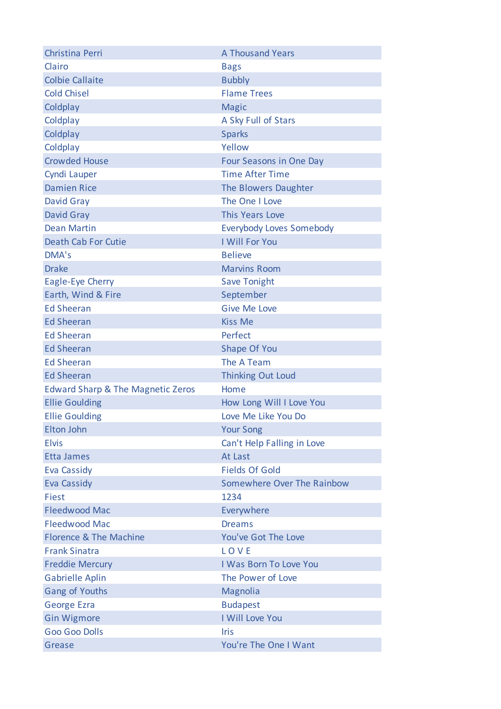| Christina Perri                              | <b>A Thousand Years</b>         |
|----------------------------------------------|---------------------------------|
| Clairo                                       | <b>Bags</b>                     |
| <b>Colbie Callaite</b>                       | <b>Bubbly</b>                   |
| <b>Cold Chisel</b>                           | <b>Flame Trees</b>              |
| Coldplay                                     | <b>Magic</b>                    |
| Coldplay                                     | A Sky Full of Stars             |
| Coldplay                                     | <b>Sparks</b>                   |
| Coldplay                                     | Yellow                          |
| <b>Crowded House</b>                         | <b>Four Seasons in One Day</b>  |
| Cyndi Lauper                                 | <b>Time After Time</b>          |
| <b>Damien Rice</b>                           | The Blowers Daughter            |
| David Gray                                   | The One I Love                  |
| <b>David Gray</b>                            | <b>This Years Love</b>          |
| <b>Dean Martin</b>                           | <b>Everybody Loves Somebody</b> |
| <b>Death Cab For Cutie</b>                   | I Will For You                  |
| DMA's                                        | <b>Believe</b>                  |
| <b>Drake</b>                                 | <b>Marvins Room</b>             |
| Eagle-Eye Cherry                             | <b>Save Tonight</b>             |
| Earth, Wind & Fire                           | September                       |
| <b>Ed Sheeran</b>                            | <b>Give Me Love</b>             |
| <b>Ed Sheeran</b>                            | <b>Kiss Me</b>                  |
| <b>Ed Sheeran</b>                            | Perfect                         |
| <b>Ed Sheeran</b>                            | Shape Of You                    |
| <b>Ed Sheeran</b>                            | The A Team                      |
| <b>Ed Sheeran</b>                            | <b>Thinking Out Loud</b>        |
| <b>Edward Sharp &amp; The Magnetic Zeros</b> | Home                            |
| <b>Ellie Goulding</b>                        | How Long Will I Love You        |
| <b>Ellie Goulding</b>                        | Love Me Like You Do             |
| <b>Elton John</b>                            | <b>Your Song</b>                |
| <b>Elvis</b>                                 | Can't Help Falling in Love      |
| <b>Etta James</b>                            | At Last                         |
| <b>Eva Cassidy</b>                           | <b>Fields Of Gold</b>           |
| <b>Eva Cassidy</b>                           | Somewhere Over The Rainbow      |
| Fiest                                        | 1234                            |
| <b>Fleedwood Mac</b>                         | Everywhere                      |
| <b>Fleedwood Mac</b>                         | <b>Dreams</b>                   |
| Florence & The Machine                       | You've Got The Love             |
| <b>Frank Sinatra</b>                         | LOVE                            |
| <b>Freddie Mercury</b>                       | I Was Born To Love You          |
| <b>Gabrielle Aplin</b>                       | The Power of Love               |
| <b>Gang of Youths</b>                        | Magnolia                        |
| <b>George Ezra</b>                           | <b>Budapest</b>                 |
| <b>Gin Wigmore</b>                           | I Will Love You                 |
| <b>Goo Goo Dolls</b>                         | <b>Iris</b>                     |
| Grease                                       | You're The One I Want           |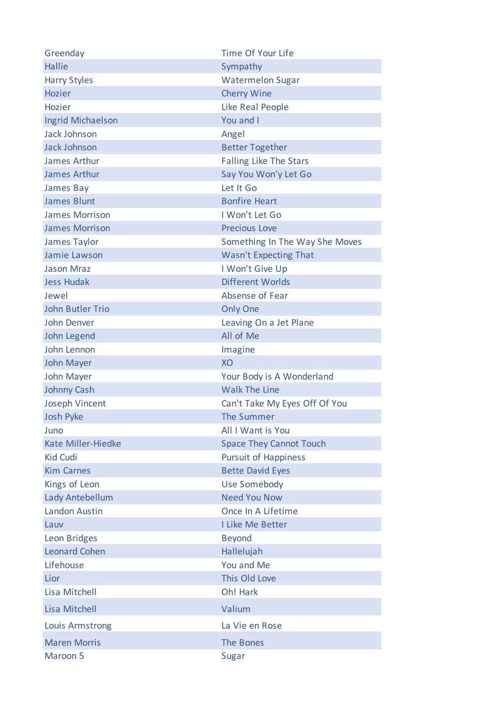| Greenday                  | <b>Time Of Your Life</b>       |
|---------------------------|--------------------------------|
| <b>Hallie</b>             | Sympathy                       |
| <b>Harry Styles</b>       | <b>Watermelon Sugar</b>        |
| <b>Hozier</b>             | <b>Cherry Wine</b>             |
| <b>Hozier</b>             | <b>Like Real People</b>        |
| <b>Ingrid Michaelson</b>  | You and I                      |
| <b>Jack Johnson</b>       | Angel                          |
| <b>Jack Johnson</b>       | <b>Better Together</b>         |
| <b>James Arthur</b>       | <b>Falling Like The Stars</b>  |
| James Arthur              | Say You Won'y Let Go           |
| James Bay                 | Let It Go                      |
| <b>James Blunt</b>        | <b>Bonfire Heart</b>           |
| <b>James Morrison</b>     | I Won't Let Go                 |
| <b>James Morrison</b>     | <b>Precious Love</b>           |
| <b>James Taylor</b>       | Something In The Way She Moves |
| Jamie Lawson              | <b>Wasn't Expecting That</b>   |
| <b>Jason Mraz</b>         | I Won't Give Up                |
| <b>Jess Hudak</b>         | Different Worlds               |
| Jewel                     | Absense of Fear                |
| <b>John Butler Trio</b>   | <b>Only One</b>                |
| <b>John Denver</b>        | Leaving On a Jet Plane         |
| John Legend               | All of Me                      |
| John Lennon               | Imagine                        |
| <b>John Mayer</b>         | XO                             |
| <b>John Mayer</b>         | Your Body is A Wonderland      |
| <b>Johnny Cash</b>        | <b>Walk The Line</b>           |
| <b>Joseph Vincent</b>     | Can't Take My Eyes Off Of You  |
| <b>Josh Pyke</b>          | The Summer                     |
| Juno                      | All I Want is You              |
| <b>Kate Miller-Hiedke</b> | <b>Space They Cannot Touch</b> |
| <b>Kid Cudi</b>           | <b>Pursuit of Happiness</b>    |
| <b>Kim Carnes</b>         | <b>Bette David Eyes</b>        |
| Kings of Leon             | <b>Use Somebody</b>            |
| Lady Antebellum           | <b>Need You Now</b>            |
| <b>Landon Austin</b>      | Once In A Lifetime             |
| Lauv                      | I Like Me Better               |
| <b>Leon Bridges</b>       | <b>Beyond</b>                  |
| <b>Leonard Cohen</b>      | Hallelujah                     |
| Lifehouse                 | You and Me                     |
| Lior                      | This Old Love                  |
| <b>Lisa Mitchell</b>      | Oh! Hark                       |
| Lisa Mitchell             | Valium                         |
| <b>Louis Armstrong</b>    | La Vie en Rose                 |
| <b>Maren Morris</b>       | The Bones                      |
| Maroon 5                  | Sugar                          |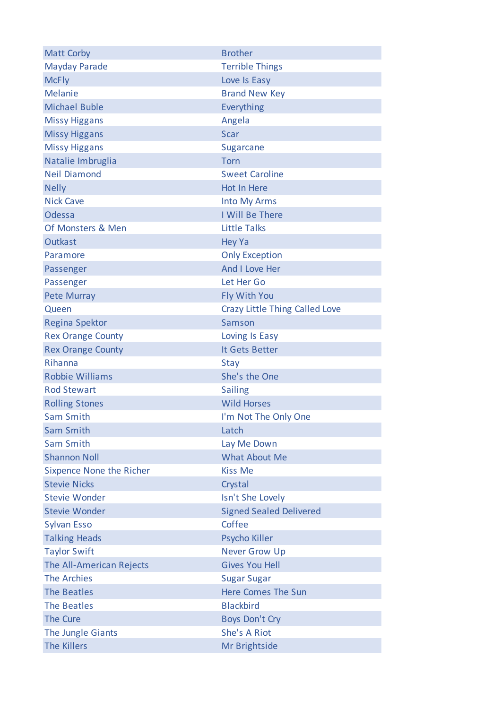| <b>Matt Corby</b>               | <b>Brother</b>                 |
|---------------------------------|--------------------------------|
| <b>Mayday Parade</b>            | <b>Terrible Things</b>         |
| <b>McFly</b>                    | Love Is Easy                   |
| <b>Melanie</b>                  | <b>Brand New Key</b>           |
| <b>Michael Buble</b>            | Everything                     |
| <b>Missy Higgans</b>            | Angela                         |
| <b>Missy Higgans</b>            | <b>Scar</b>                    |
| <b>Missy Higgans</b>            | Sugarcane                      |
| Natalie Imbruglia               | Torn                           |
| <b>Neil Diamond</b>             | <b>Sweet Caroline</b>          |
| <b>Nelly</b>                    | Hot In Here                    |
| <b>Nick Cave</b>                | <b>Into My Arms</b>            |
| Odessa                          | I Will Be There                |
| Of Monsters & Men               | <b>Little Talks</b>            |
| <b>Outkast</b>                  | <b>Hey Ya</b>                  |
| Paramore                        | <b>Only Exception</b>          |
| Passenger                       | And I Love Her                 |
| Passenger                       | Let Her Go                     |
| <b>Pete Murray</b>              | Fly With You                   |
| Queen                           | Crazy Little Thing Called Love |
| <b>Regina Spektor</b>           | Samson                         |
| <b>Rex Orange County</b>        | Loving Is Easy                 |
| <b>Rex Orange County</b>        | It Gets Better                 |
| Rihanna                         | Stay                           |
| <b>Robbie Williams</b>          | She's the One                  |
| <b>Rod Stewart</b>              | <b>Sailing</b>                 |
| <b>Rolling Stones</b>           | <b>Wild Horses</b>             |
| Sam Smith                       | I'm Not The Only One           |
| Sam Smith                       | Latch                          |
| <b>Sam Smith</b>                | Lay Me Down                    |
| <b>Shannon Noll</b>             | <b>What About Me</b>           |
| <b>Sixpence None the Richer</b> | <b>Kiss Me</b>                 |
| <b>Stevie Nicks</b>             | Crystal                        |
| <b>Stevie Wonder</b>            | Isn't She Lovely               |
| <b>Stevie Wonder</b>            | <b>Signed Sealed Delivered</b> |
| <b>Sylvan Esso</b>              | Coffee                         |
| <b>Talking Heads</b>            | Psycho Killer                  |
| <b>Taylor Swift</b>             | <b>Never Grow Up</b>           |
| The All-American Rejects        | <b>Gives You Hell</b>          |
| <b>The Archies</b>              | <b>Sugar Sugar</b>             |
| <b>The Beatles</b>              | <b>Here Comes The Sun</b>      |
| <b>The Beatles</b>              | <b>Blackbird</b>               |
| <b>The Cure</b>                 | <b>Boys Don't Cry</b>          |
| The Jungle Giants               | She's A Riot                   |
| <b>The Killers</b>              | Mr Brightside                  |